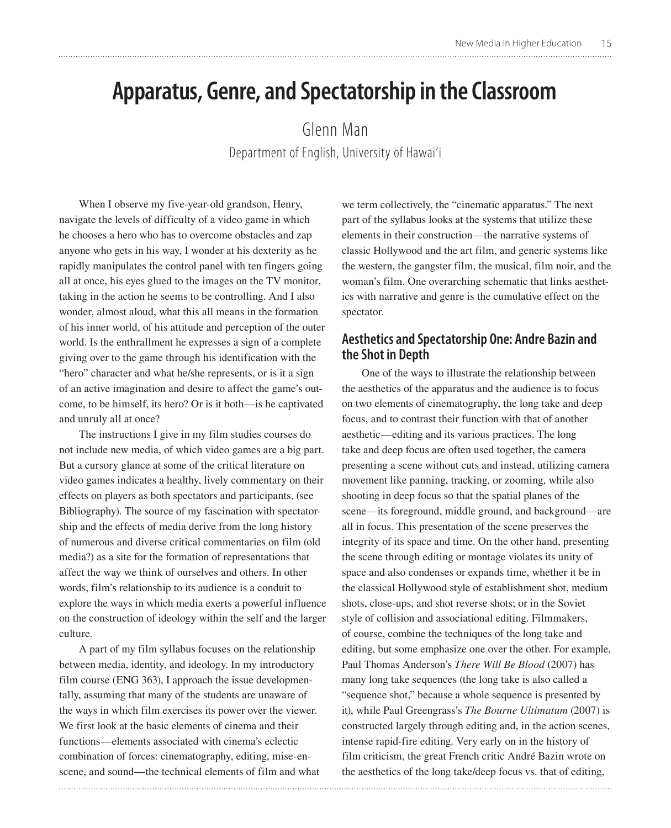# **Apparatus, Genre, and Spectatorship in the Classroom**

Glenn Man Department of English, University of Hawai'i

When I observe my five-year-old grandson, Henry, navigate the levels of difficulty of a video game in which he chooses a hero who has to overcome obstacles and zap anyone who gets in his way, I wonder at his dexterity as he rapidly manipulates the control panel with ten fingers going all at once, his eyes glued to the images on the TV monitor, taking in the action he seems to be controlling. And I also wonder, almost aloud, what this all means in the formation of his inner world, of his attitude and perception of the outer world. Is the enthrallment he expresses a sign of a complete giving over to the game through his identification with the "hero" character and what he/she represents, or is it a sign of an active imagination and desire to affect the game's outcome, to be himself, its hero? Or is it both—is he captivated and unruly all at once?

The instructions I give in my film studies courses do not include new media, of which video games are a big part. But a cursory glance at some of the critical literature on video games indicates a healthy, lively commentary on their effects on players as both spectators and participants, (see Bibliography). The source of my fascination with spectatorship and the effects of media derive from the long history of numerous and diverse critical commentaries on film (old media?) as a site for the formation of representations that affect the way we think of ourselves and others. In other words, film's relationship to its audience is a conduit to explore the ways in which media exerts a powerful influence on the construction of ideology within the self and the larger culture.

A part of my film syllabus focuses on the relationship between media, identity, and ideology. In my introductory film course (ENG 363), I approach the issue developmentally, assuming that many of the students are unaware of the ways in which film exercises its power over the viewer. We first look at the basic elements of cinema and their functions—elements associated with cinema's eclectic combination of forces: cinematography, editing, mise-enscene, and sound—the technical elements of film and what

we term collectively, the "cinematic apparatus." The next part of the syllabus looks at the systems that utilize these elements in their construction—the narrative systems of classic Hollywood and the art film, and generic systems like the western, the gangster film, the musical, film noir, and the woman's film. One overarching schematic that links aesthetics with narrative and genre is the cumulative effect on the spectator.

## **Aesthetics and Spectatorship One: Andre Bazin and the Shot in Depth**

One of the ways to illustrate the relationship between the aesthetics of the apparatus and the audience is to focus on two elements of cinematography, the long take and deep focus, and to contrast their function with that of another aesthetic—editing and its various practices. The long take and deep focus are often used together, the camera presenting a scene without cuts and instead, utilizing camera movement like panning, tracking, or zooming, while also shooting in deep focus so that the spatial planes of the scene—its foreground, middle ground, and background—are all in focus. This presentation of the scene preserves the integrity of its space and time. On the other hand, presenting the scene through editing or montage violates its unity of space and also condenses or expands time, whether it be in the classical Hollywood style of establishment shot, medium shots, close-ups, and shot reverse shots; or in the Soviet style of collision and associational editing. Filmmakers, of course, combine the techniques of the long take and editing, but some emphasize one over the other. For example, Paul Thomas Anderson's *There Will Be Blood* (2007) has many long take sequences (the long take is also called a "sequence shot," because a whole sequence is presented by it), while Paul Greengrass's *The Bourne Ultimatum* (2007) is constructed largely through editing and, in the action scenes, intense rapid-fire editing. Very early on in the history of film criticism, the great French critic André Bazin wrote on the aesthetics of the long take/deep focus vs. that of editing,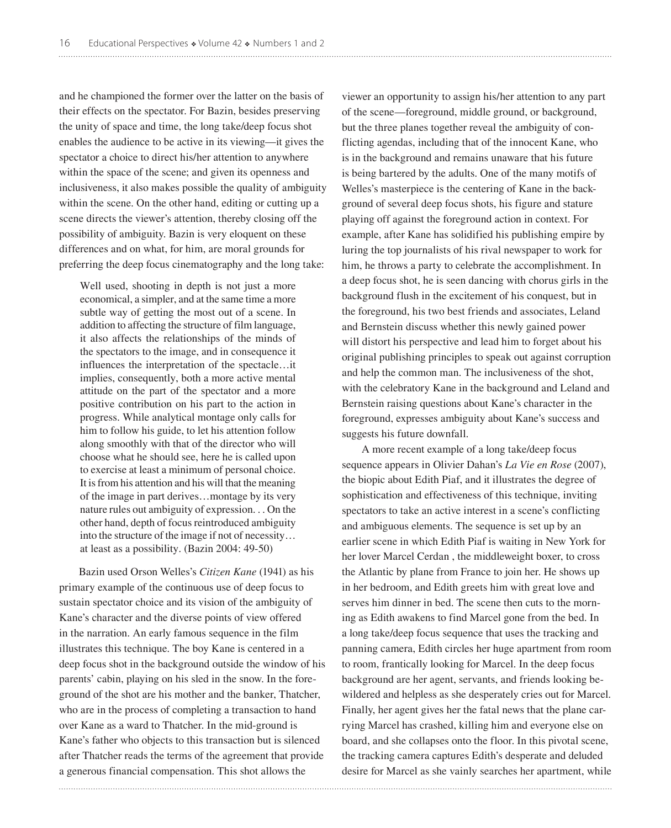and he championed the former over the latter on the basis of their effects on the spectator. For Bazin, besides preserving the unity of space and time, the long take/deep focus shot enables the audience to be active in its viewing—it gives the spectator a choice to direct his/her attention to anywhere within the space of the scene; and given its openness and inclusiveness, it also makes possible the quality of ambiguity within the scene. On the other hand, editing or cutting up a scene directs the viewer's attention, thereby closing off the possibility of ambiguity. Bazin is very eloquent on these differences and on what, for him, are moral grounds for preferring the deep focus cinematography and the long take:

Well used, shooting in depth is not just a more economical, a simpler, and at the same time a more subtle way of getting the most out of a scene. In addition to affecting the structure of film language, it also affects the relationships of the minds of the spectators to the image, and in consequence it influences the interpretation of the spectacle…it implies, consequently, both a more active mental attitude on the part of the spectator and a more positive contribution on his part to the action in progress. While analytical montage only calls for him to follow his guide, to let his attention follow along smoothly with that of the director who will choose what he should see, here he is called upon to exercise at least a minimum of personal choice. It is from his attention and his will that the meaning of the image in part derives…montage by its very nature rules out ambiguity of expression. . . On the other hand, depth of focus reintroduced ambiguity into the structure of the image if not of necessity… at least as a possibility. (Bazin 2004: 49-50)

Bazin used Orson Welles's *Citizen Kane* (1941) as his primary example of the continuous use of deep focus to sustain spectator choice and its vision of the ambiguity of Kane's character and the diverse points of view offered in the narration. An early famous sequence in the film illustrates this technique. The boy Kane is centered in a deep focus shot in the background outside the window of his parents' cabin, playing on his sled in the snow. In the foreground of the shot are his mother and the banker, Thatcher, who are in the process of completing a transaction to hand over Kane as a ward to Thatcher. In the mid-ground is Kane's father who objects to this transaction but is silenced after Thatcher reads the terms of the agreement that provide a generous financial compensation. This shot allows the

viewer an opportunity to assign his/her attention to any part of the scene—foreground, middle ground, or background, but the three planes together reveal the ambiguity of conflicting agendas, including that of the innocent Kane, who is in the background and remains unaware that his future is being bartered by the adults. One of the many motifs of Welles's masterpiece is the centering of Kane in the background of several deep focus shots, his figure and stature playing off against the foreground action in context. For example, after Kane has solidified his publishing empire by luring the top journalists of his rival newspaper to work for him, he throws a party to celebrate the accomplishment. In a deep focus shot, he is seen dancing with chorus girls in the background flush in the excitement of his conquest, but in the foreground, his two best friends and associates, Leland and Bernstein discuss whether this newly gained power will distort his perspective and lead him to forget about his original publishing principles to speak out against corruption and help the common man. The inclusiveness of the shot, with the celebratory Kane in the background and Leland and Bernstein raising questions about Kane's character in the foreground, expresses ambiguity about Kane's success and suggests his future downfall.

A more recent example of a long take/deep focus sequence appears in Olivier Dahan's *La Vie en Rose* (2007), the biopic about Edith Piaf, and it illustrates the degree of sophistication and effectiveness of this technique, inviting spectators to take an active interest in a scene's conflicting and ambiguous elements. The sequence is set up by an earlier scene in which Edith Piaf is waiting in New York for her lover Marcel Cerdan , the middleweight boxer, to cross the Atlantic by plane from France to join her. He shows up in her bedroom, and Edith greets him with great love and serves him dinner in bed. The scene then cuts to the morning as Edith awakens to find Marcel gone from the bed. In a long take/deep focus sequence that uses the tracking and panning camera, Edith circles her huge apartment from room to room, frantically looking for Marcel. In the deep focus background are her agent, servants, and friends looking bewildered and helpless as she desperately cries out for Marcel. Finally, her agent gives her the fatal news that the plane carrying Marcel has crashed, killing him and everyone else on board, and she collapses onto the floor. In this pivotal scene, the tracking camera captures Edith's desperate and deluded desire for Marcel as she vainly searches her apartment, while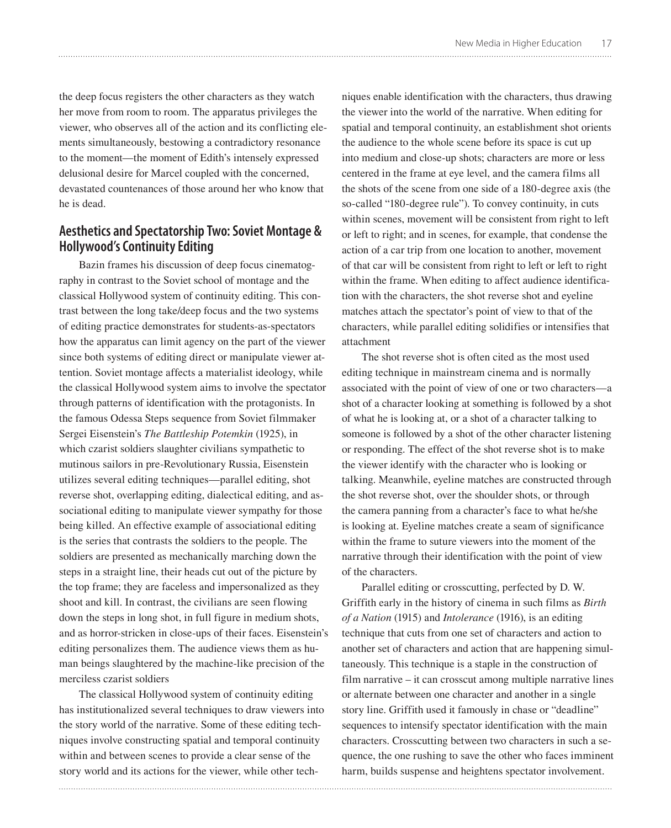the deep focus registers the other characters as they watch her move from room to room. The apparatus privileges the viewer, who observes all of the action and its conflicting elements simultaneously, bestowing a contradictory resonance to the moment—the moment of Edith's intensely expressed delusional desire for Marcel coupled with the concerned, devastated countenances of those around her who know that he is dead.

# **Aesthetics and Spectatorship Two: Soviet Montage & Hollywood's Continuity Editing**

Bazin frames his discussion of deep focus cinematography in contrast to the Soviet school of montage and the classical Hollywood system of continuity editing. This contrast between the long take/deep focus and the two systems of editing practice demonstrates for students-as-spectators how the apparatus can limit agency on the part of the viewer since both systems of editing direct or manipulate viewer attention. Soviet montage affects a materialist ideology, while the classical Hollywood system aims to involve the spectator through patterns of identification with the protagonists. In the famous Odessa Steps sequence from Soviet filmmaker Sergei Eisenstein's *The Battleship Potemkin* (1925), in which czarist soldiers slaughter civilians sympathetic to mutinous sailors in pre-Revolutionary Russia, Eisenstein utilizes several editing techniques—parallel editing, shot reverse shot, overlapping editing, dialectical editing, and associational editing to manipulate viewer sympathy for those being killed. An effective example of associational editing is the series that contrasts the soldiers to the people. The soldiers are presented as mechanically marching down the steps in a straight line, their heads cut out of the picture by the top frame; they are faceless and impersonalized as they shoot and kill. In contrast, the civilians are seen flowing down the steps in long shot, in full figure in medium shots, and as horror-stricken in close-ups of their faces. Eisenstein's editing personalizes them. The audience views them as human beings slaughtered by the machine-like precision of the merciless czarist soldiers

The classical Hollywood system of continuity editing has institutionalized several techniques to draw viewers into the story world of the narrative. Some of these editing techniques involve constructing spatial and temporal continuity within and between scenes to provide a clear sense of the story world and its actions for the viewer, while other techniques enable identification with the characters, thus drawing the viewer into the world of the narrative. When editing for spatial and temporal continuity, an establishment shot orients the audience to the whole scene before its space is cut up into medium and close-up shots; characters are more or less centered in the frame at eye level, and the camera films all the shots of the scene from one side of a 180-degree axis (the so-called "180-degree rule"). To convey continuity, in cuts within scenes, movement will be consistent from right to left or left to right; and in scenes, for example, that condense the action of a car trip from one location to another, movement of that car will be consistent from right to left or left to right within the frame. When editing to affect audience identification with the characters, the shot reverse shot and eyeline matches attach the spectator's point of view to that of the characters, while parallel editing solidifies or intensifies that attachment

The shot reverse shot is often cited as the most used editing technique in mainstream cinema and is normally associated with the point of view of one or two characters—a shot of a character looking at something is followed by a shot of what he is looking at, or a shot of a character talking to someone is followed by a shot of the other character listening or responding. The effect of the shot reverse shot is to make the viewer identify with the character who is looking or talking. Meanwhile, eyeline matches are constructed through the shot reverse shot, over the shoulder shots, or through the camera panning from a character's face to what he/she is looking at. Eyeline matches create a seam of significance within the frame to suture viewers into the moment of the narrative through their identification with the point of view of the characters.

Parallel editing or crosscutting, perfected by D. W. Griffith early in the history of cinema in such films as *Birth of a Nation* (1915) and *Intolerance* (1916), is an editing technique that cuts from one set of characters and action to another set of characters and action that are happening simultaneously. This technique is a staple in the construction of film narrative – it can crosscut among multiple narrative lines or alternate between one character and another in a single story line. Griffith used it famously in chase or "deadline" sequences to intensify spectator identification with the main characters. Crosscutting between two characters in such a sequence, the one rushing to save the other who faces imminent harm, builds suspense and heightens spectator involvement.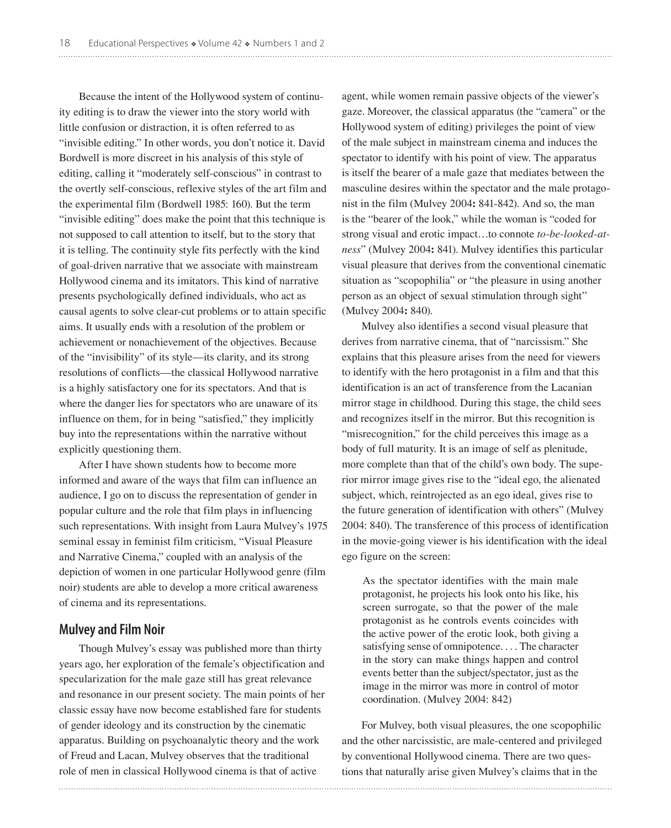Because the intent of the Hollywood system of continuity editing is to draw the viewer into the story world with little confusion or distraction, it is often referred to as "invisible editing." In other words, you don't notice it. David Bordwell is more discreet in his analysis of this style of editing, calling it "moderately self-conscious" in contrast to the overtly self-conscious, reflexive styles of the art film and the experimental film (Bordwell 1985: 160). But the term "invisible editing" does make the point that this technique is not supposed to call attention to itself, but to the story that it is telling. The continuity style fits perfectly with the kind of goal-driven narrative that we associate with mainstream Hollywood cinema and its imitators. This kind of narrative presents psychologically defined individuals, who act as causal agents to solve clear-cut problems or to attain specific aims. It usually ends with a resolution of the problem or achievement or nonachievement of the objectives. Because of the "invisibility" of its style—its clarity, and its strong resolutions of conflicts—the classical Hollywood narrative is a highly satisfactory one for its spectators. And that is where the danger lies for spectators who are unaware of its influence on them, for in being "satisfied," they implicitly buy into the representations within the narrative without explicitly questioning them.

After I have shown students how to become more informed and aware of the ways that film can influence an audience, I go on to discuss the representation of gender in popular culture and the role that film plays in influencing such representations. With insight from Laura Mulvey's 1975 seminal essay in feminist film criticism, "Visual Pleasure and Narrative Cinema," coupled with an analysis of the depiction of women in one particular Hollywood genre (film noir) students are able to develop a more critical awareness of cinema and its representations.

### **Mulvey and Film Noir**

Though Mulvey's essay was published more than thirty years ago, her exploration of the female's objectification and specularization for the male gaze still has great relevance and resonance in our present society. The main points of her classic essay have now become established fare for students of gender ideology and its construction by the cinematic apparatus. Building on psychoanalytic theory and the work of Freud and Lacan, Mulvey observes that the traditional role of men in classical Hollywood cinema is that of active

agent, while women remain passive objects of the viewer's gaze. Moreover, the classical apparatus (the "camera" or the Hollywood system of editing) privileges the point of view of the male subject in mainstream cinema and induces the spectator to identify with his point of view. The apparatus is itself the bearer of a male gaze that mediates between the masculine desires within the spectator and the male protagonist in the film (Mulvey 2004**:** 841-842). And so, the man is the "bearer of the look," while the woman is "coded for strong visual and erotic impact…to connote *to-be-looked-atness*" (Mulvey 2004**:** 841). Mulvey identifies this particular visual pleasure that derives from the conventional cinematic situation as "scopophilia" or "the pleasure in using another person as an object of sexual stimulation through sight" (Mulvey 2004**:** 840).

Mulvey also identifies a second visual pleasure that derives from narrative cinema, that of "narcissism." She explains that this pleasure arises from the need for viewers to identify with the hero protagonist in a film and that this identification is an act of transference from the Lacanian mirror stage in childhood. During this stage, the child sees and recognizes itself in the mirror. But this recognition is "misrecognition," for the child perceives this image as a body of full maturity. It is an image of self as plenitude, more complete than that of the child's own body. The superior mirror image gives rise to the "ideal ego, the alienated subject, which, reintrojected as an ego ideal, gives rise to the future generation of identification with others" (Mulvey 2004: 840). The transference of this process of identification in the movie-going viewer is his identification with the ideal ego figure on the screen:

As the spectator identifies with the main male protagonist, he projects his look onto his like, his screen surrogate, so that the power of the male protagonist as he controls events coincides with the active power of the erotic look, both giving a satisfying sense of omnipotence. . . . The character in the story can make things happen and control events better than the subject/spectator, just as the image in the mirror was more in control of motor coordination. (Mulvey 2004: 842)

For Mulvey, both visual pleasures, the one scopophilic and the other narcissistic, are male-centered and privileged by conventional Hollywood cinema. There are two questions that naturally arise given Mulvey's claims that in the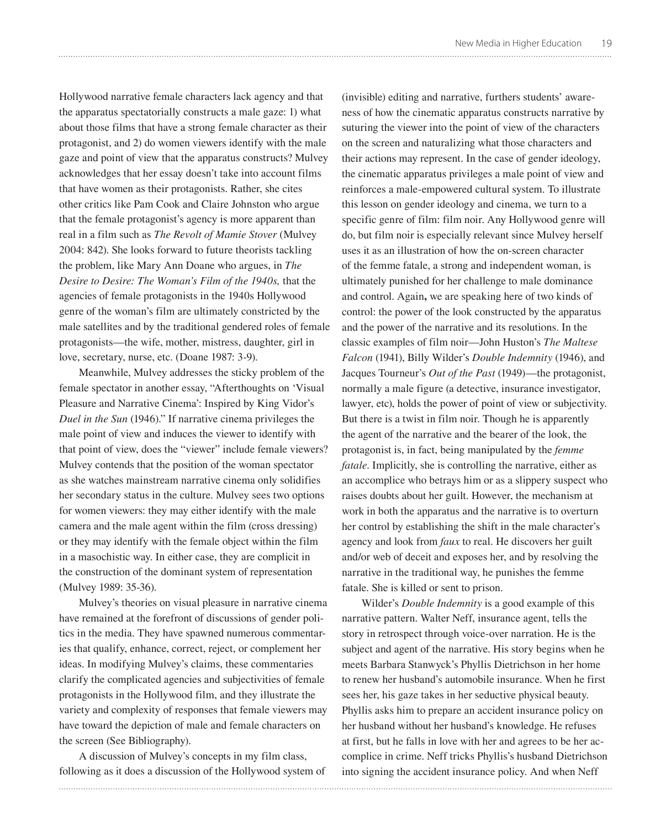Hollywood narrative female characters lack agency and that the apparatus spectatorially constructs a male gaze: 1) what about those films that have a strong female character as their protagonist, and 2) do women viewers identify with the male gaze and point of view that the apparatus constructs? Mulvey acknowledges that her essay doesn't take into account films that have women as their protagonists. Rather, she cites other critics like Pam Cook and Claire Johnston who argue that the female protagonist's agency is more apparent than real in a film such as *The Revolt of Mamie Stover* (Mulvey 2004: 842). She looks forward to future theorists tackling the problem, like Mary Ann Doane who argues, in *The Desire to Desire: The Woman's Film of the 1940s,* that the agencies of female protagonists in the 1940s Hollywood genre of the woman's film are ultimately constricted by the male satellites and by the traditional gendered roles of female protagonists—the wife, mother, mistress, daughter, girl in love, secretary, nurse, etc. (Doane 1987: 3-9).

Meanwhile, Mulvey addresses the sticky problem of the female spectator in another essay, "Afterthoughts on 'Visual Pleasure and Narrative Cinema': Inspired by King Vidor's *Duel in the Sun* (1946)." If narrative cinema privileges the male point of view and induces the viewer to identify with that point of view, does the "viewer" include female viewers? Mulvey contends that the position of the woman spectator as she watches mainstream narrative cinema only solidifies her secondary status in the culture. Mulvey sees two options for women viewers: they may either identify with the male camera and the male agent within the film (cross dressing) or they may identify with the female object within the film in a masochistic way. In either case, they are complicit in the construction of the dominant system of representation (Mulvey 1989: 35-36).

Mulvey's theories on visual pleasure in narrative cinema have remained at the forefront of discussions of gender politics in the media. They have spawned numerous commentaries that qualify, enhance, correct, reject, or complement her ideas. In modifying Mulvey's claims, these commentaries clarify the complicated agencies and subjectivities of female protagonists in the Hollywood film, and they illustrate the variety and complexity of responses that female viewers may have toward the depiction of male and female characters on the screen (See Bibliography).

A discussion of Mulvey's concepts in my film class, following as it does a discussion of the Hollywood system of

(invisible) editing and narrative, furthers students' awareness of how the cinematic apparatus constructs narrative by suturing the viewer into the point of view of the characters on the screen and naturalizing what those characters and their actions may represent. In the case of gender ideology, the cinematic apparatus privileges a male point of view and reinforces a male-empowered cultural system. To illustrate this lesson on gender ideology and cinema, we turn to a specific genre of film: film noir. Any Hollywood genre will do, but film noir is especially relevant since Mulvey herself uses it as an illustration of how the on-screen character of the femme fatale, a strong and independent woman, is ultimately punished for her challenge to male dominance and control. Again**,** we are speaking here of two kinds of control: the power of the look constructed by the apparatus and the power of the narrative and its resolutions. In the classic examples of film noir—John Huston's *The Maltese Falcon* (1941), Billy Wilder's *Double Indemnity* (1946), and Jacques Tourneur's *Out of the Past* (1949)—the protagonist, normally a male figure (a detective, insurance investigator, lawyer, etc), holds the power of point of view or subjectivity. But there is a twist in film noir. Though he is apparently the agent of the narrative and the bearer of the look, the protagonist is, in fact, being manipulated by the *femme fatale*. Implicitly, she is controlling the narrative, either as an accomplice who betrays him or as a slippery suspect who raises doubts about her guilt. However, the mechanism at work in both the apparatus and the narrative is to overturn her control by establishing the shift in the male character's agency and look from *faux* to real. He discovers her guilt and/or web of deceit and exposes her, and by resolving the narrative in the traditional way, he punishes the femme fatale. She is killed or sent to prison.

Wilder's *Double Indemnity* is a good example of this narrative pattern. Walter Neff, insurance agent, tells the story in retrospect through voice-over narration. He is the subject and agent of the narrative. His story begins when he meets Barbara Stanwyck's Phyllis Dietrichson in her home to renew her husband's automobile insurance. When he first sees her, his gaze takes in her seductive physical beauty. Phyllis asks him to prepare an accident insurance policy on her husband without her husband's knowledge. He refuses at first, but he falls in love with her and agrees to be her accomplice in crime. Neff tricks Phyllis's husband Dietrichson into signing the accident insurance policy. And when Neff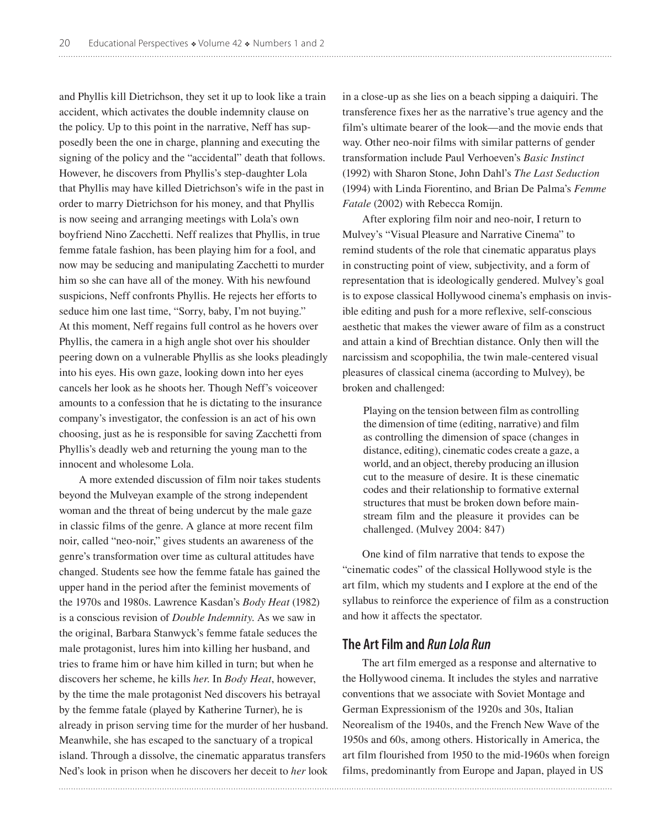and Phyllis kill Dietrichson, they set it up to look like a train accident, which activates the double indemnity clause on the policy. Up to this point in the narrative, Neff has supposedly been the one in charge, planning and executing the signing of the policy and the "accidental" death that follows. However, he discovers from Phyllis's step-daughter Lola that Phyllis may have killed Dietrichson's wife in the past in order to marry Dietrichson for his money, and that Phyllis is now seeing and arranging meetings with Lola's own boyfriend Nino Zacchetti. Neff realizes that Phyllis, in true femme fatale fashion, has been playing him for a fool, and now may be seducing and manipulating Zacchetti to murder him so she can have all of the money. With his newfound suspicions, Neff confronts Phyllis. He rejects her efforts to seduce him one last time, "Sorry, baby, I'm not buying." At this moment, Neff regains full control as he hovers over Phyllis, the camera in a high angle shot over his shoulder peering down on a vulnerable Phyllis as she looks pleadingly into his eyes. His own gaze, looking down into her eyes cancels her look as he shoots her. Though Neff's voiceover amounts to a confession that he is dictating to the insurance company's investigator, the confession is an act of his own choosing, just as he is responsible for saving Zacchetti from Phyllis's deadly web and returning the young man to the innocent and wholesome Lola.

A more extended discussion of film noir takes students beyond the Mulveyan example of the strong independent woman and the threat of being undercut by the male gaze in classic films of the genre. A glance at more recent film noir, called "neo-noir," gives students an awareness of the genre's transformation over time as cultural attitudes have changed. Students see how the femme fatale has gained the upper hand in the period after the feminist movements of the 1970s and 1980s. Lawrence Kasdan's *Body Heat* (1982) is a conscious revision of *Double Indemnity*. As we saw in the original, Barbara Stanwyck's femme fatale seduces the male protagonist, lures him into killing her husband, and tries to frame him or have him killed in turn; but when he discovers her scheme, he kills *her*. In *Body Heat*, however, by the time the male protagonist Ned discovers his betrayal by the femme fatale (played by Katherine Turner), he is already in prison serving time for the murder of her husband. Meanwhile, she has escaped to the sanctuary of a tropical island. Through a dissolve, the cinematic apparatus transfers Ned's look in prison when he discovers her deceit to *her* look

in a close-up as she lies on a beach sipping a daiquiri. The transference fixes her as the narrative's true agency and the film's ultimate bearer of the look—and the movie ends that way. Other neo-noir films with similar patterns of gender transformation include Paul Verhoeven's *Basic Instinct* (1992) with Sharon Stone, John Dahl's *The Last Seduction* (1994) with Linda Fiorentino, and Brian De Palma's *Femme Fatale* (2002) with Rebecca Romijn.

After exploring film noir and neo-noir, I return to Mulvey's "Visual Pleasure and Narrative Cinema" to remind students of the role that cinematic apparatus plays in constructing point of view, subjectivity, and a form of representation that is ideologically gendered. Mulvey's goal is to expose classical Hollywood cinema's emphasis on invisible editing and push for a more reflexive, self-conscious aesthetic that makes the viewer aware of film as a construct and attain a kind of Brechtian distance. Only then will the narcissism and scopophilia, the twin male-centered visual pleasures of classical cinema (according to Mulvey), be broken and challenged:

Playing on the tension between film as controlling the dimension of time (editing, narrative) and film as controlling the dimension of space (changes in distance, editing), cinematic codes create a gaze, a world, and an object, thereby producing an illusion cut to the measure of desire. It is these cinematic codes and their relationship to formative external structures that must be broken down before mainstream film and the pleasure it provides can be challenged. (Mulvey 2004: 847)

One kind of film narrative that tends to expose the "cinematic codes" of the classical Hollywood style is the art film, which my students and I explore at the end of the syllabus to reinforce the experience of film as a construction and how it affects the spectator.

## **The Art Film and** *Run Lola Run*

The art film emerged as a response and alternative to the Hollywood cinema. It includes the styles and narrative conventions that we associate with Soviet Montage and German Expressionism of the 1920s and 30s, Italian Neorealism of the 1940s, and the French New Wave of the 1950s and 60s, among others. Historically in America, the art film flourished from 1950 to the mid-1960s when foreign films, predominantly from Europe and Japan, played in US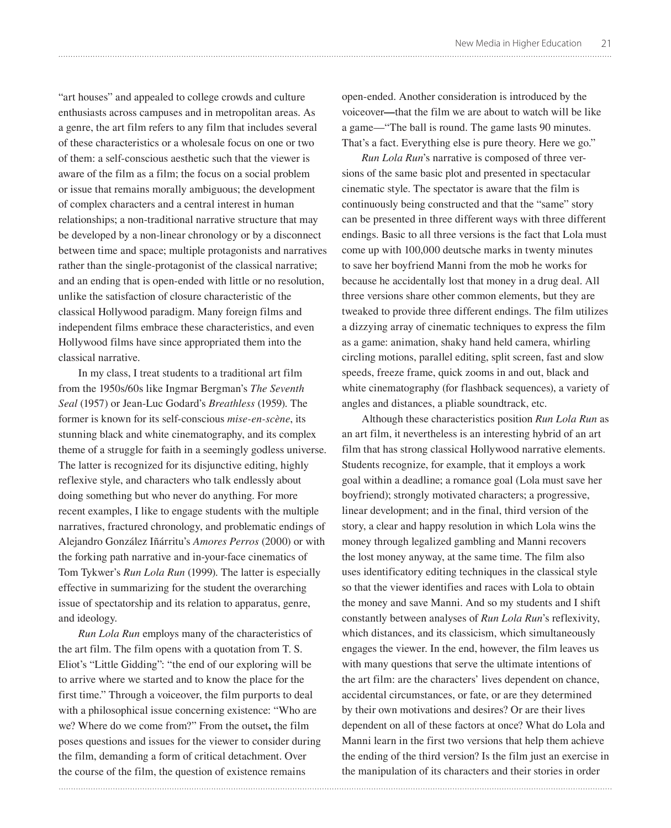"art houses" and appealed to college crowds and culture enthusiasts across campuses and in metropolitan areas. As a genre, the art film refers to any film that includes several of these characteristics or a wholesale focus on one or two of them: a self-conscious aesthetic such that the viewer is aware of the film as a film; the focus on a social problem or issue that remains morally ambiguous; the development of complex characters and a central interest in human relationships; a non-traditional narrative structure that may be developed by a non-linear chronology or by a disconnect between time and space; multiple protagonists and narratives rather than the single-protagonist of the classical narrative; and an ending that is open-ended with little or no resolution, unlike the satisfaction of closure characteristic of the classical Hollywood paradigm. Many foreign films and independent films embrace these characteristics, and even Hollywood films have since appropriated them into the classical narrative.

In my class, I treat students to a traditional art film from the 1950s/60s like Ingmar Bergman's *The Seventh Seal* (1957) or Jean-Luc Godard's *Breathless* (1959). The former is known for its self-conscious *mise-en-scène*, its stunning black and white cinematography, and its complex theme of a struggle for faith in a seemingly godless universe. The latter is recognized for its disjunctive editing, highly reflexive style, and characters who talk endlessly about doing something but who never do anything. For more recent examples, I like to engage students with the multiple narratives, fractured chronology, and problematic endings of Alejandro González Iñárritu's *Amores Perros* (2000) or with the forking path narrative and in-your-face cinematics of Tom Tykwer's *Run Lola Run* (1999). The latter is especially effective in summarizing for the student the overarching issue of spectatorship and its relation to apparatus, genre, and ideology.

*Run Lola Run* employs many of the characteristics of the art film. The film opens with a quotation from T. S. Eliot's "Little Gidding": "the end of our exploring will be to arrive where we started and to know the place for the first time." Through a voiceover, the film purports to deal with a philosophical issue concerning existence: "Who are we? Where do we come from?" From the outset**,** the film poses questions and issues for the viewer to consider during the film, demanding a form of critical detachment. Over the course of the film, the question of existence remains

open-ended. Another consideration is introduced by the voiceover**—**that the film we are about to watch will be like a game—"The ball is round. The game lasts 90 minutes. That's a fact. Everything else is pure theory. Here we go."

*Run Lola Run*'s narrative is composed of three versions of the same basic plot and presented in spectacular cinematic style. The spectator is aware that the film is continuously being constructed and that the "same" story can be presented in three different ways with three different endings. Basic to all three versions is the fact that Lola must come up with 100,000 deutsche marks in twenty minutes to save her boyfriend Manni from the mob he works for because he accidentally lost that money in a drug deal. All three versions share other common elements, but they are tweaked to provide three different endings. The film utilizes a dizzying array of cinematic techniques to express the film as a game: animation, shaky hand held camera, whirling circling motions, parallel editing, split screen, fast and slow speeds, freeze frame, quick zooms in and out, black and white cinematography (for flashback sequences), a variety of angles and distances, a pliable soundtrack, etc.

Although these characteristics position *Run Lola Run* as an art film, it nevertheless is an interesting hybrid of an art film that has strong classical Hollywood narrative elements. Students recognize, for example, that it employs a work goal within a deadline; a romance goal (Lola must save her boyfriend); strongly motivated characters; a progressive, linear development; and in the final, third version of the story, a clear and happy resolution in which Lola wins the money through legalized gambling and Manni recovers the lost money anyway, at the same time. The film also uses identificatory editing techniques in the classical style so that the viewer identifies and races with Lola to obtain the money and save Manni. And so my students and I shift constantly between analyses of *Run Lola Run*'s reflexivity, which distances, and its classicism, which simultaneously engages the viewer. In the end, however, the film leaves us with many questions that serve the ultimate intentions of the art film: are the characters' lives dependent on chance, accidental circumstances, or fate, or are they determined by their own motivations and desires? Or are their lives dependent on all of these factors at once? What do Lola and Manni learn in the first two versions that help them achieve the ending of the third version? Is the film just an exercise in the manipulation of its characters and their stories in order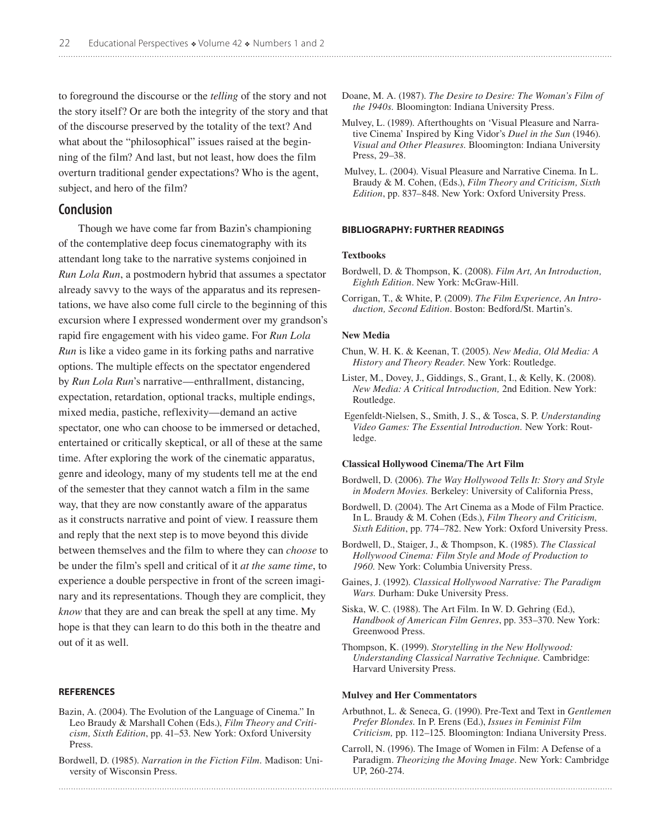to foreground the discourse or the *telling* of the story and not the story itself? Or are both the integrity of the story and that of the discourse preserved by the totality of the text? And what about the "philosophical" issues raised at the beginning of the film? And last, but not least, how does the film overturn traditional gender expectations? Who is the agent, subject, and hero of the film?

## **Conclusion**

Though we have come far from Bazin's championing of the contemplative deep focus cinematography with its attendant long take to the narrative systems conjoined in *Run Lola Run*, a postmodern hybrid that assumes a spectator already savvy to the ways of the apparatus and its representations, we have also come full circle to the beginning of this excursion where I expressed wonderment over my grandson's rapid fire engagement with his video game. For *Run Lola Run* is like a video game in its forking paths and narrative options. The multiple effects on the spectator engendered by *Run Lola Run*'s narrative—enthrallment, distancing, expectation, retardation, optional tracks, multiple endings, mixed media, pastiche, reflexivity—demand an active spectator, one who can choose to be immersed or detached, entertained or critically skeptical, or all of these at the same time. After exploring the work of the cinematic apparatus, genre and ideology, many of my students tell me at the end of the semester that they cannot watch a film in the same way, that they are now constantly aware of the apparatus as it constructs narrative and point of view. I reassure them and reply that the next step is to move beyond this divide between themselves and the film to where they can *choose* to be under the film's spell and critical of it *at the same time*, to experience a double perspective in front of the screen imaginary and its representations. Though they are complicit, they *know* that they are and can break the spell at any time. My hope is that they can learn to do this both in the theatre and out of it as well.

#### **References**

- Bazin, A. (2004). The Evolution of the Language of Cinema." In Leo Braudy & Marshall Cohen (Eds.), *Film Theory and Criticism, Sixth Edition*, pp. 41–53. New York: Oxford University Press.
- Bordwell, D. (1985). *Narration in the Fiction Film.* Madison: University of Wisconsin Press.
- Doane, M. A. (1987). *The Desire to Desire: The Woman's Film of the 1940s.* Bloomington: Indiana University Press.
- Mulvey, L. (1989). Afterthoughts on 'Visual Pleasure and Narrative Cinema' Inspired by King Vidor's *Duel in the Sun* (1946). *Visual and Other Pleasures.* Bloomington: Indiana University Press, 29–38.
- Mulvey, L. (2004). Visual Pleasure and Narrative Cinema. In L. Braudy & M. Cohen, (Eds.), *Film Theory and Criticism, Sixth Edition*, pp. 837–848. New York: Oxford University Press.

#### **Bibliography: Further Readings**

#### **Textbooks**

- Bordwell, D. & Thompson, K. (2008). *Film Art, An Introduction, Eighth Edition*. New York: McGraw-Hill.
- Corrigan, T., & White, P. (2009). *The Film Experience, An Introduction, Second Edition*. Boston: Bedford/St. Martin's.

#### **New Media**

- Chun, W. H. K. & Keenan, T. (2005). *New Media, Old Media: A History and Theory Reader.* New York: Routledge.
- Lister, M., Dovey, J., Giddings, S., Grant, I., & Kelly, K. (2008). *New Media: A Critical Introduction,* 2nd Edition. New York: Routledge.
- Egenfeldt-Nielsen, S., Smith, J. S., & Tosca, S. P. *Understanding Video Games: The Essential Introduction.* New York: Routledge.

#### **Classical Hollywood Cinema/The Art Film**

- Bordwell, D. (2006). *The Way Hollywood Tells It: Story and Style in Modern Movies.* Berkeley: University of California Press,
- Bordwell, D. (2004). The Art Cinema as a Mode of Film Practice. In L. Braudy & M. Cohen (Eds.), *Film Theory and Criticism, Sixth Edition*, pp. 774–782. New York: Oxford University Press.
- Bordwell, D., Staiger, J., & Thompson, K. (1985). *The Classical Hollywood Cinema: Film Style and Mode of Production to 1960.* New York: Columbia University Press.
- Gaines, J. (1992). *Classical Hollywood Narrative: The Paradigm Wars.* Durham: Duke University Press.
- Siska, W. C. (1988). The Art Film. In W. D. Gehring (Ed.), *Handbook of American Film Genres*, pp. 353–370. New York: Greenwood Press.
- Thompson, K. (1999). *Storytelling in the New Hollywood: Understanding Classical Narrative Technique.* Cambridge: Harvard University Press.

#### **Mulvey and Her Commentators**

- Arbuthnot, L. & Seneca, G. (1990). Pre-Text and Text in *Gentlemen Prefer Blondes.* In P. Erens (Ed.), *Issues in Feminist Film Criticism,* pp. 112–125*.* Bloomington: Indiana University Press.
- Carroll, N. (1996). The Image of Women in Film: A Defense of a Paradigm. *Theorizing the Moving Image*. New York: Cambridge UP, 260-274.